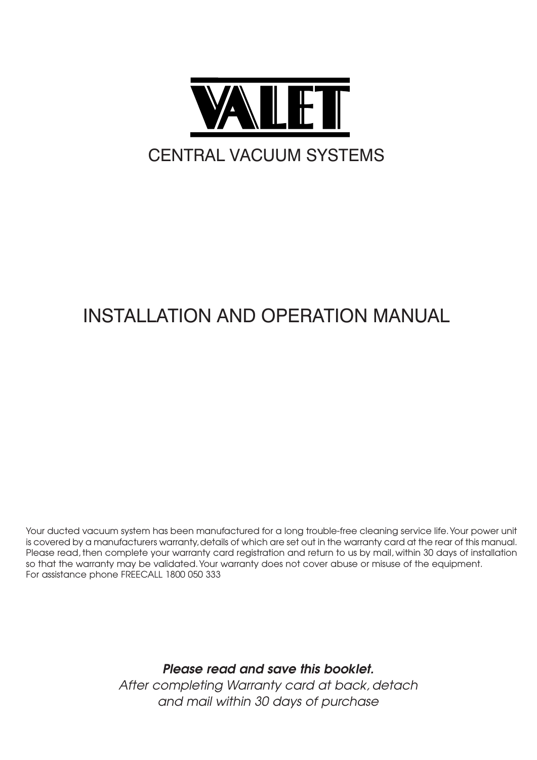

## Installation and Operation Manual

*Your ducted vacuum system has been manufactured for a long trouble-free cleaning service life.Your power unit is covered by a manufacturers warranty,details of which are set out in the warranty card at the rear of this manual. Please read, then complete your warranty card registration and return to us by mail, within 30 days of installation so that the warranty may be validated.Your warranty does not cover abuse or misuse of the equipment. For assistance phone FREECALL 1800 050 333*

> Please read and save this booklet. *After completing Warranty card at back, detach and mail within 30 days of purchase*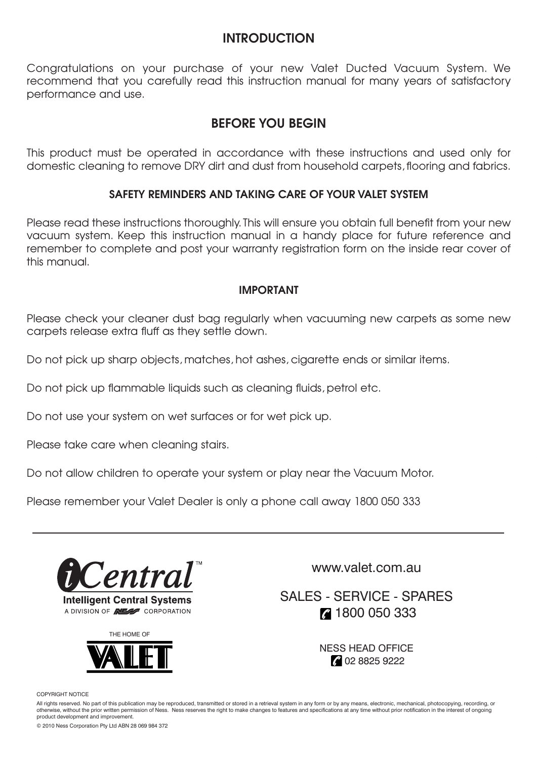#### INTRODUCTION

*Congratulations on your purchase of your new Valet Ducted Vacuum System. We recommend that you carefully read this instruction manual for many years of satisfactory performance and use.*

### BEFORE YOU BEGIN

*This product must be operated in accordance with these instructions and used only for domestic cleaning to remove DRY dirt and dust from household carpets, flooring and fabrics.*

#### SAFETY REMINDERS AND TAKING CARE OF YOUR VALET SYSTEM

*Please read these instructions thoroughly. This will ensure you obtain full benefit from your new vacuum system. Keep this instruction manual in a handy place for future reference and remember to complete and post your warranty registration form on the inside rear cover of this manual.*

#### IMPORTANT

*Please check your cleaner dust bag regularly when vacuuming new carpets as some new carpets release extra fluff as they settle down.*

*Do not pick up sharp objects, matches, hot ashes, cigarette ends or similar items.*

*Do not pick up flammable liquids such as cleaning fluids, petrol etc.*

*Do not use your system on wet surfaces or for wet pick up.*

*Please take care when cleaning stairs.*

*Do not allow children to operate your system or play near the Vacuum Motor.*

*Please remember your Valet Dealer is only a phone call away 1800 050 333*



**Intelligent Central Systems** A DIVISION OF **NEW** CORPORATION



www.valet.com.au

Sales - Service - Spares 2 1800 050 333

> Ness Head Office 2 02 8825 9222

Copyright Notice

All rights reserved. No part of this publication may be reproduced, transmitted or stored in a retrieval system in any form or by any means, electronic, mechanical, photocopying, recording, or otherwise, without the prior written permission of Ness. Ness reserves the right to make changes to features and specifications at any time without prior notification in the interest of ongoing product development and improvement.

© 2010 Ness Corporation Pty Ltd ABN 28 069 984 372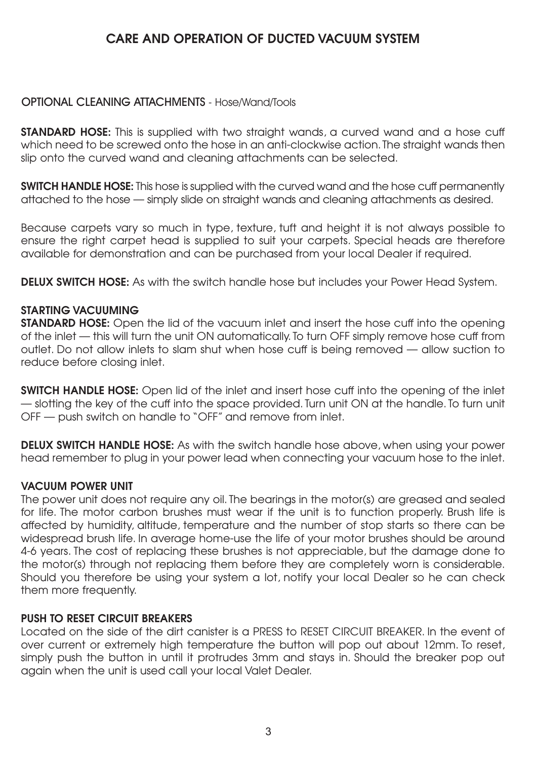### CARE AND OPERATION OF DUCTED VACUUM SYSTEM

### **OPTIONAL CLEANING ATTACHMENTS** - Hose/Wand/Tools

STANDARD HOSE: *This is supplied with two straight wands, a curved wand and a hose cuff* which need to be screwed onto the hose in an anti-clockwise action. The straight wands then *slip onto the curved wand and cleaning attachments can be selected. which need to be screwed onto the hose in an anti-clockwise action.The straight wands then*

SWITCH HANDLE HOSE: *This hose is supplied with the curved wand and the hose cuff permanently* attached to the hose — simply slide on straight wands and cleaning attachments as desired.

*Because carpets vary so much in type, texture, tuft and height it is not always possible to* ensure the right carpet head is supplied to suit your carpets. Special heads are therefore *available for demonstration and can be purchased from your local Dealer if required. ensure the right carpet head is supplied to suit your carpets. Special heads are therefore*

DELUX SWITCH HOSE: *As with the switch handle hose but includes your Power Head System.*

#### STARTING VACUUMING

**STANDARD HOSE:** Open the lid of the vacuum inlet and insert the hose cuff into the opening of the inlet — this will turn the unit ON automatically. To turn OFF simply remove hose cuff from *outlet. Do not allow inlets to slam shut when hose cuff is being removed — allow suction to of the inlet — this will turn the unit ON automatically. To turn OFF simply remove hose cuff from reduce before closing inlet. outlet. Do not allow inlets to slam shut when hose cuff is being removed — allow suction to*

SWITCH HANDLE HOSE: *Open lid of the inlet and insert hose cuff into the opening of the inlet* — slotting the key of the cuff into the space provided. Turn unit ON at the handle. To turn unit OFF — push switch on handle to "OFF" and remove from inlet.

DELUX SWITCH HANDLE HOSE: *As with the switch handle hose above, when using your power* head remember to plug in your power lead when connecting your vacuum hose to the inlet.

#### VACUUM POWER UNIT

The power unit does not require any oil. The bearings in the motor(s) are greased and sealed for life. The motor carbon brushes must wear if the unit is to function properly. Brush life is *affected by humidity, altitude, temperature and the number of stop starts so there can be for life. The motor carbon brushes must wear if the unit is to function properly. Brush life is* widespread brush life. In average home-use the life of your motor brushes should be around 4-6 years. The cost of replacing these brushes is not appreciable, but the damage done to the motor(s) through not replacing them before they are completely worn is considerable. Should you therefore be using your system a lot, notify your local Dealer so he can check *them more frequently.* The using your system and the can check system a lot  $\alpha$  is a local Dealer so he can check

#### PUSH TO RESET CIRCUIT BREAKERS

Located on the side of the dirt canister is a PRESS to RESET CIRCUIT BREAKER. In the event of over current or extremely high temperature the button will pop out about 12mm. To reset, simply push the button in until it protrudes 3mm and stays in. Should the breaker pop out *again when the unit is used call your local Valet Dealer. simply push the button in until it protrudes 3mm and stays in. Should the breaker pop out*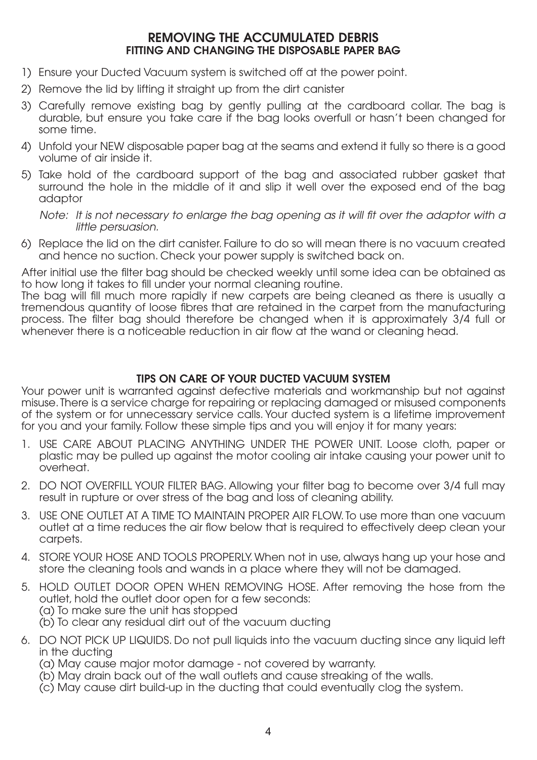#### REMOVING THE ACCUMULATED DEBRIS FITTING AND CHANGING THE DISPOSABLE PAPER BAG

- 1) Ensure your Ducted Vacuum system is switched off at the power point.
- 2) Remove the lid by lifting it straight up from the dirt canister
- 3) Carefully remove existing bag by gently pulling at the cardboard collar. The bag is durable, but ensure you take care if the bag looks overfull or hasn't been changed for some time.
- 4) Unfold your NEW disposable paper bag at the seams and extend it fully so there is a good volume of air inside it.
- 5) Take hold of the cardboard support of the bag and associated rubber gasket that surround the hole in the middle of it and slip it well over the exposed end of the bag adaptor

Note: It is not necessary to enlarge the bag opening as it will fit over the adaptor with <sup>a</sup> little persuasion.

6) Replace the lid on the dirt canister. Failure to do so will mean there is no vacuum created and hence no suction. Check your power supply is switched back on.

After initial use the filter bag should be checked weekly until some idea can be obtained as to how long it takes to fill under your normal cleaning routine.

The bag will fill much more rapidly if new carpets are being cleaned as there is usually a tremendous quantity of loose fibres that are retained in the carpet from the manufacturing process. The filter bag should therefore be changed when it is approximately 3/4 full or whenever there is a noticeable reduction in air flow at the wand or cleaning head.

#### TIPS ON CARE OF YOUR DUCTED VACUUM SYSTEM

Your power unit is warranted against defective materials and workmanship but not against misuse. There is a service charge for repairing or replacing damaged or misused components of the system or for unnecessary service calls. Your ducted system is a lifetime improvement for you and your family. Follow these simple tips and you will enjoy it for many years:

- 1. USE CARE ABOUT PLACING ANYTHING UNDER THE POWER UNIT. Loose cloth, paper or plastic may be pulled up against the motor cooling air intake causing your power unit to overheat.
- 2. DO NOT OVERFILL YOUR FILTER BAG. Allowing your filter bag to become over 3/4 full may result in rupture or over stress of the bag and loss of cleaning ability.
- 3. USE ONE OUTLET AT A TIME TO MAINTAIN PROPER AIR FLOW. To use more than one vacuum outlet at a time reduces the air flow below that is required to effectively deep clean your carpets.
- 4. STORE YOUR HOSE AND TOOLS PROPERLY.When not in use, always hang up your hose and store the cleaning tools and wands in a place where they will not be damaged.
- 5. HOLD OUTLET DOOR OPEN WHEN REMOVING HOSE. After removing the hose from the outlet, hold the outlet door open for a few seconds: (a) To make sure the unit has stopped (b) To clear any residual dirt out of the vacuum ducting
- 6. DO NOT PICK UP LIQUIDS. Do not pull liquids into the vacuum ducting since any liquid left in the ducting
	- (a) May cause major motor damage not covered by warranty.
	- (b) May drain back out of the wall outlets and cause streaking of the walls.
- (c) May cause dirt build-up in the ducting that could eventually clog the system. 63*Please contact your local dealer should you have any difficulties with installation or*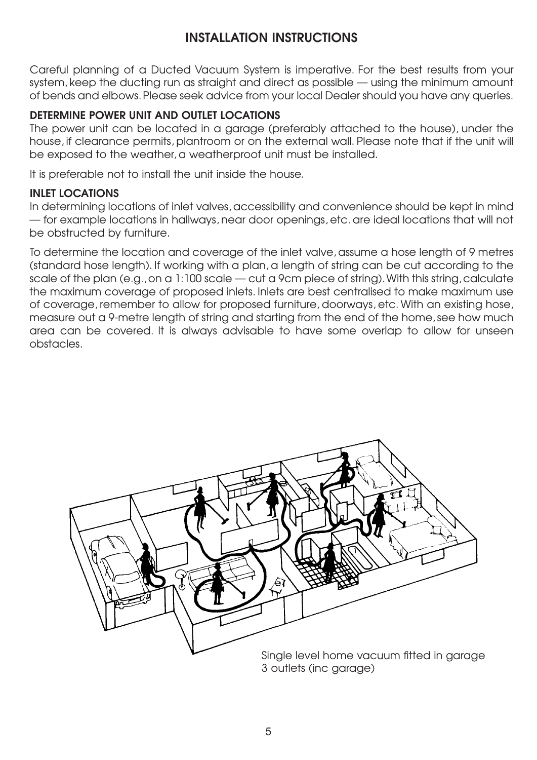### INSTALLATION INSTRUCTIONS

*Careful planning of a Ducted Vacuum System is imperative. For the best results from your system, keep the ducting run as straight and direct as possible — using the minimum amount of bends and elbows.Please seek advice from your local Dealer should you have any queries.*

#### DETERMINE POWER UNIT AND OUTLET LOCATIONS

*The power unit can be located in a garage (preferably attached to the house), under the house, if clearance permits, plantroom or on the external wall. Please note that if the unit will be exposed to the weather, a weatherproof unit must be installed.*

*It is preferable not to install the unit inside the house.*

#### INLET LOCATIONS

*In determining locations of inlet valves, accessibility and convenience should be kept in mind — for example locations in hallways, near door openings, etc. are ideal locations that will not be obstructed by furniture.*

*To determine the location and coverage of the inlet valve, assume a hose length of 9 metres (standard hose length). If working with a plan, a length of string can be cut according to the scale of the plan (e.g., on a 1:100 scale — cut a 9cm piece of string).With this string, calculate the maximum coverage of proposed inlets. Inlets are best centralised to make maximum use of coverage, remember to allow for proposed furniture, doorways, etc. With an existing hose, measure out a 9-metre length of string and starting from the end of the home, see how much area can be covered. It is always advisable to have some overlap to allow for unseen obstacles.*

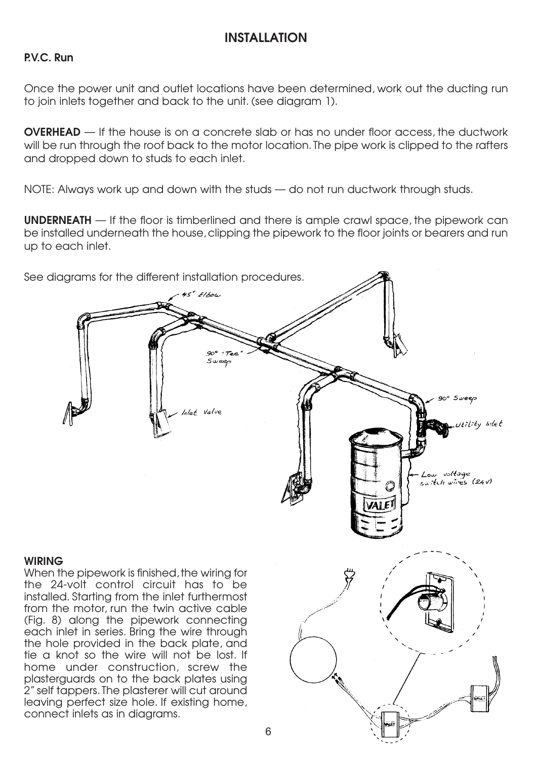## INSTALLATION INSTALLATION

#### P.V.C. Run

to join inlets together and back to the unit. (see diagram 1). *Once the power unit and outlet locations have been determined, work out the ducting run*

will be run through the roof back to the motor location. The pipe work is clipped to the rafters and dropped down to studs to each inlet. OVERHEAD *— If the house is on a concrete slab or has no under floor access, the ductwork*

*NOTE: Always work up and down with the studs — do not run ductwork through studs.*

be installed underneath the house, clipping the pipework to the floor joints or bearers and run<br>up to each inlet. *be installed underneath the house, clipping the pipework to the floor joints or bearers and run up to each inlet.* UNDERNEATH *— If the floor is timberlined and there is ample crawl space, the pipework can*



1990 - An Dùbhlachd an Dùbhlachd an Dùbhlachd an Dùbhlachd an Dùbhlachd an Dùbhlachd an Dùbhlachd an Dùbhlach<br>1991 - An Dùbhlachd an Dùbhlachd an Dùbhlachd an Dùbhlachd an Dùbhlachd an Dùbhlachd an Dùbhlachd an Dùbhlachd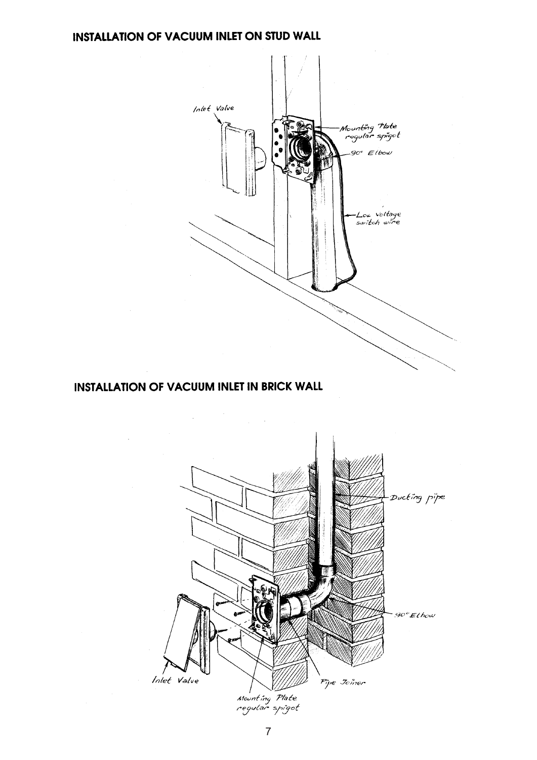#### INSTALLATION OF VACUUM INLET ON STUD WALL



#### **INSTALLATION OF VACUUM INLET IN BRICK WALL**

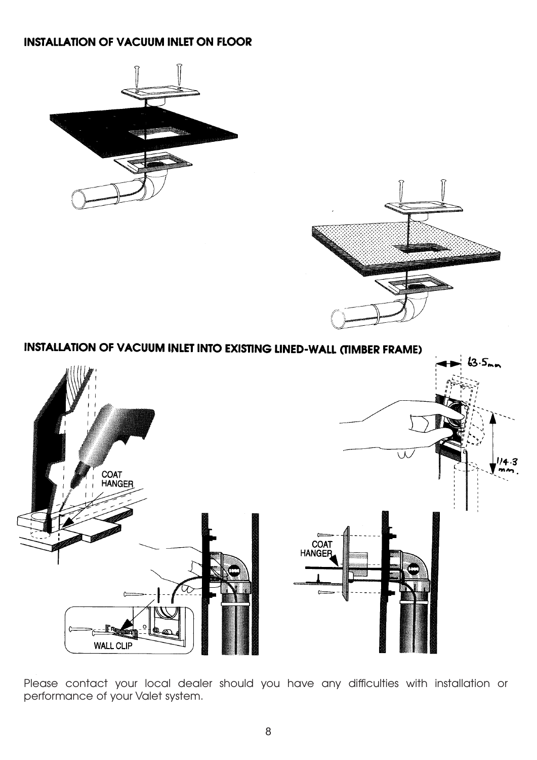#### **INSTALLATION OF VACUUM INLET ON FLOOR**





**INSTALLATION OF VACUUM INLET INTO EXISTING LINED-WALL (TIMBER FRAME)** 



*Please contact your local dealer should you have any difficulties with installation or performance of your Valet system.*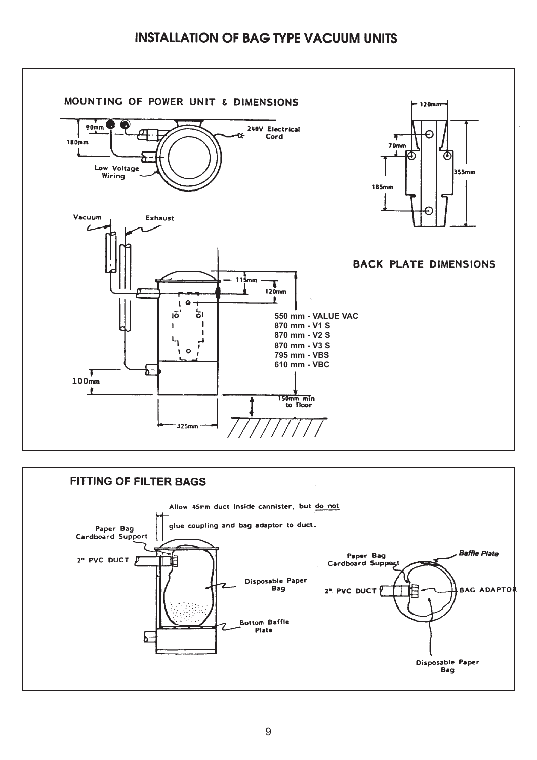#### **INSTALLATION OF BAG TYPE VACUUM UNITS**



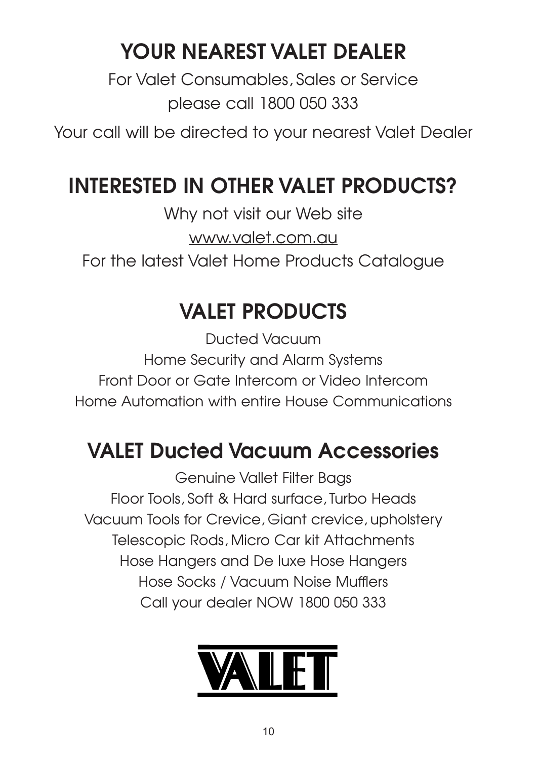# YOUR NEAREST VALET DEALER

*For Valet Consumables, Sales or Service please call 1800 050 333*

*Your call will be directed to your nearest Valet Dealer*

## INTERESTED IN OTHER VALET PRODUCTS?

*Why not visit our Web site www.valet.com.au For the latest Valet Home Products Catalogue*

## VALET PRODUCTS

*Ducted Vacuum Home Security and Alarm Systems Front Door or Gate Intercom or Video Intercom Home Automation with entire House Communications*

## VALET Ducted Vacuum Accessories

*Genuine Vallet Filter Bags Floor Tools, Soft & Hard surface, Turbo Heads Vacuum Tools for Crevice, Giant crevice, upholstery Telescopic Rods, Micro Car kit Attachments Hose Hangers and De luxe Hose Hangers Hose Socks / Vacuum Noise Mufflers Call your dealer NOW 1800 050 333*

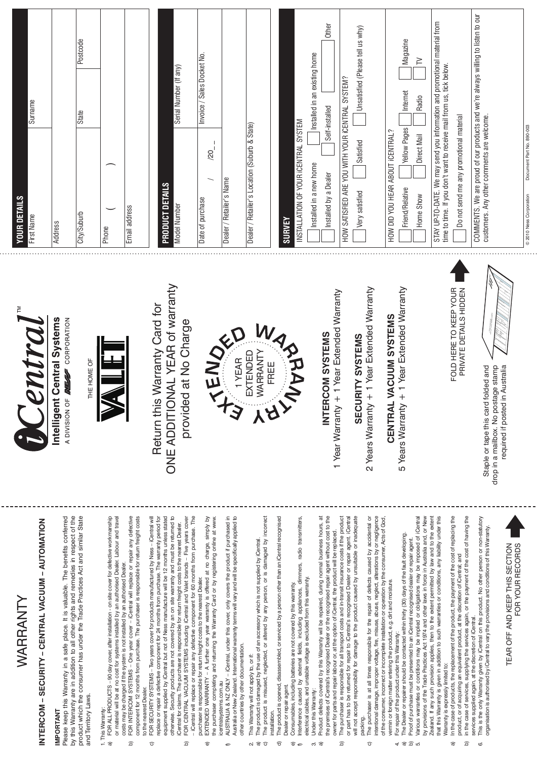| Surname<br><b>YOUR DETAILS</b><br>First Name                  | Postcode<br>State<br>City/Suburb<br>Address                                                                                                                                                                                                                                                          | Email address<br>Phone                                                                                                                                                                                                                                                                                                                                                                                                                                                                                                                                                     | Serial Number (If any)<br>PRODUCT DETAILS<br><b>Model Number</b>                                                                                                                                                                                                                                                                                                                                                                                                                                                                                                                                                                                                                                              | Invoice / Sales Docket No.<br>$\overline{20}$<br>Dealer / Retailer's Name<br>Date of purchase                                                                                                                                                                                                                                                                                                                                                                                                                                                                     | Dealer / Retailer's Location (Suburb & State)                                                                                                                                                                                                                 | Installed in an existing home<br>INSTALLATION OF YOUR ICENTRAL SYSTEM<br><b>SURVEY</b>                                                                                                                                                                                                                                                                                                                                                   | Other<br>Unsatisfied (Please tell us why)<br>HOW SATISFIED ARE YOU WITH YOUR ICENTRAL SYSTEM?<br>Self-installed<br>Satisfied<br>Installed in a new home<br>Installed by a Dealer<br>Very satisfied                                                                                                                                                                                                                                                                                                                                                                                                                        | Magazine<br>$\geq$<br>Internet<br>Radio<br>Yellow Pages<br>HOW DID YOU HEAR ABOUT ICENTRAL?<br>Direct Mail<br>Friend/Relative<br>Home Show                                                                                                                                                                                                                                                                                                                                                                                                                                                                                                                                                                                                                                                                                                               | STAY UP-TO-DATE. We may send you information and promotional material from<br>time to time. If you don't want to receive mail from us, tick below.<br>Do not send me any promotional material                                                                                                                                                                                                                                                                                                                                                                         | COMMENTS. We are proud of our products and we're always willing to listen to our<br>customers. Any other comments are welcome.                                                                                                                                                                                       | Document Part No. 890-003<br>© 2010 Ness Corporation |
|---------------------------------------------------------------|------------------------------------------------------------------------------------------------------------------------------------------------------------------------------------------------------------------------------------------------------------------------------------------------------|----------------------------------------------------------------------------------------------------------------------------------------------------------------------------------------------------------------------------------------------------------------------------------------------------------------------------------------------------------------------------------------------------------------------------------------------------------------------------------------------------------------------------------------------------------------------------|---------------------------------------------------------------------------------------------------------------------------------------------------------------------------------------------------------------------------------------------------------------------------------------------------------------------------------------------------------------------------------------------------------------------------------------------------------------------------------------------------------------------------------------------------------------------------------------------------------------------------------------------------------------------------------------------------------------|-------------------------------------------------------------------------------------------------------------------------------------------------------------------------------------------------------------------------------------------------------------------------------------------------------------------------------------------------------------------------------------------------------------------------------------------------------------------------------------------------------------------------------------------------------------------|---------------------------------------------------------------------------------------------------------------------------------------------------------------------------------------------------------------------------------------------------------------|------------------------------------------------------------------------------------------------------------------------------------------------------------------------------------------------------------------------------------------------------------------------------------------------------------------------------------------------------------------------------------------------------------------------------------------|---------------------------------------------------------------------------------------------------------------------------------------------------------------------------------------------------------------------------------------------------------------------------------------------------------------------------------------------------------------------------------------------------------------------------------------------------------------------------------------------------------------------------------------------------------------------------------------------------------------------------|----------------------------------------------------------------------------------------------------------------------------------------------------------------------------------------------------------------------------------------------------------------------------------------------------------------------------------------------------------------------------------------------------------------------------------------------------------------------------------------------------------------------------------------------------------------------------------------------------------------------------------------------------------------------------------------------------------------------------------------------------------------------------------------------------------------------------------------------------------|-----------------------------------------------------------------------------------------------------------------------------------------------------------------------------------------------------------------------------------------------------------------------------------------------------------------------------------------------------------------------------------------------------------------------------------------------------------------------------------------------------------------------------------------------------------------------|----------------------------------------------------------------------------------------------------------------------------------------------------------------------------------------------------------------------------------------------------------------------------------------------------------------------|------------------------------------------------------|
| cutral.<br>Ň                                                  | A DIVISION OF <b>MESS</b> CORPORATION<br>Intelligent Central Systems<br>THE HOME OF                                                                                                                                                                                                                  |                                                                                                                                                                                                                                                                                                                                                                                                                                                                                                                                                                            | <b>IONAL YEAR of warranty</b><br>Return this Warranty Card for<br>provided at No Charge<br>ONE ADDIT                                                                                                                                                                                                                                                                                                                                                                                                                                                                                                                                                                                                          | WTENDA                                                                                                                                                                                                                                                                                                                                                                                                                                                                                                                                                            | EXTENDED<br>YA                                                                                                                                                                                                                                                | <b>WARANT</b>                                                                                                                                                                                                                                                                                                                                                                                                                            | 1 Year Warranty + 1 Year Extended Warranty<br><b>FERCOM SYSTEMS</b><br>SECURITY SYSTEMS<br>$\overline{\underline{z}}$                                                                                                                                                                                                                                                                                                                                                                                                                                                                                                     | 2 Years Warranty + 1 Year Extended Warranty<br>5 Years Warranty + 1 Year Extended Warranty<br>CENTRAL VACUUM SYSTEMS                                                                                                                                                                                                                                                                                                                                                                                                                                                                                                                                                                                                                                                                                                                                     | PRIVATE DETAILS HIDDEN<br>FOLD HERE TO KEEP YOUR                                                                                                                                                                                                                                                                                                                                                                                                                                                                                                                      | required if posted in Australia<br>Staple or tape this card folded and<br>postage stamp<br>drop in a mailbox. No                                                                                                                                                                                                     |                                                      |
| INTERCOM - SECURITY - CENTRAL VACUUM - AUTOMATION<br>WARRANTY | Please keep this Warranty in a safe place. It is valuable. The benefits conferred<br>by this Warranty are in addition to all other rights and remedies in respect of the<br>product which the consumer has under the Trade Practices Act and similar State<br>and Territory Laws<br><b>IMPORTANT</b> | FOR INTERCOM SYSTEMS - One year cover - iCentral will replace or repair any defective<br>FOR ALL PRODUCTS - 90 day cover, after installation - on site cover for defective workmanship<br>component for 12 months from purchase. The purchaser is responsible for return freight costs<br>or material will be at no cost for systems installed by an authorised Dealer. Labour and travel<br>costs may be charged if the system is not installed by an authorised Dealer.<br>to the nearest Dealer.<br>1. This Warranty:<br>$\widehat{\mathfrak{a}}$<br>$\widehat{\Omega}$ | - iCentral will replace or repair any defective component for 60 months from purchase. The<br>FOR SECURITY SYSTEMS - Two years cover for products manufactured by Ness - iCentral will<br>otherwise. Security products are not covered by an on site warranty and must be returned to<br>- Five years cover<br>replace or repair a defective component for 24 months from purchase. The warranty period for<br>equipment supplied by iCentral but not of Ness manufacture will be 12 months unless stated<br>iCentral for claims. The purchaser is responsible for return freight costs to the nearest Dealer.<br>FOR CENTRAL VACUUM SYSTEMS including iCentral and Valet brands<br>ত্র<br>$\widehat{\sigma}$ | AUSTRALIA & NZ ONLY – iCentral, under this cover, only covers the product if purchased in<br>Australia or New Zealand. International warranty terms will vary and will be specifically applied to<br>- A further one year warranty is offered at no charge, simply by<br>the purchaser completing and returning the Warranty Card or by registering online at www.<br>purchaser is responsible for return freight costs to the nearest Dealer.<br>other countries by other documentation.<br>EXTENDED WARRANTY<br>icentralsystems.com.au<br>$\widehat{\Phi}$<br>¢ | The product is misused, neglected, or altered by any person, or is damaged by incorrect<br>The product is damaged by the use of an accessory which is not supplied by iCentral.<br>This Warranty will not apply to, or if:<br>installation.<br><b>ା</b> ଟି ପି | The product is opened, disassembled, or serviced by a person other than an iCentral recognised<br>Interference caused by external fields, including appliances, dimmers, radio transmitters,<br>electrical cables, and unstable voltage is excluded from this warranty.<br>Consumables, including batteries are not covered by this warranty.<br>Dealer or repair agent.<br>Under this Warranty:<br>তি<br>$\widehat{\Phi}$<br>$\epsilon$ | ã<br>the premises of iCentral's recognised Dealer or the recognised repair agent without cost to the<br>owner for parts and repair labour or, at the option of iCentral, the product will be replaced.<br>The purchaser is responsible for all transport cœts and in-transit insurance costs if the product<br>or part has to be returned for repair to iCentral's recognised Dealer or repair agent. iCentral<br>will not accept responsibility for damage to the product caused by unsuitable or inadequate<br>Product defects covered by this Warranty will be repaired, during normal business hours,<br>ত্র<br>ෆ් බි | The purchaser is at all times responsible for the repair of defects caused by accidental or<br>intentional damage, improper voltage, fire, misuse, abuse, neglect, alterations by or negligence<br>Various warranties or conditions may be implied or obligations may be imposed of iCentral<br>by provisions of the Trade Practices Act 1974 and other laws in force in Australia and, or New<br>of the consumer, incorrect or incomplete installation or operation by the consumer, Acts of God,<br>The Dealer or repairer should be contacted within thirty (30) days of the fault developing.<br>Proof of purchase must be presented to an iCentral recognised dealer or repair agent.<br>vermin or foreign matter entering the product, e.g. dirt and moisture.<br>For repair of the product under this Warranty:<br>packing.<br>$\widehat{\sigma}$ | In the case of products, the replacement of the product, the payment of the cost of replacing the<br>Zealand. If any such provision applies, then to the extent permitted by law and to the extent<br>that this Warranty is given in addition to such warranties or conditions, any liability under this<br>in the case of services, supplying the services again, or the payment of the cost of having the<br>product, or of acquiring an equivalent product, at the discretion of iCentral; and<br>Warranty is expressly limited to:<br>ৱ<br>$\widehat{\mathbf{p}}$ | This is the only Warramy given by iCentral on this product. No other person or non-statutory<br>organisation is authorised by iCentral to vary the provisions and conditions of this Warranty.<br>TEAR OFF AND KEEP THIS SECTION<br>FOR YOUR RECORDS<br>services supplied again, at the discretion of iCentral.<br>6 |                                                      |